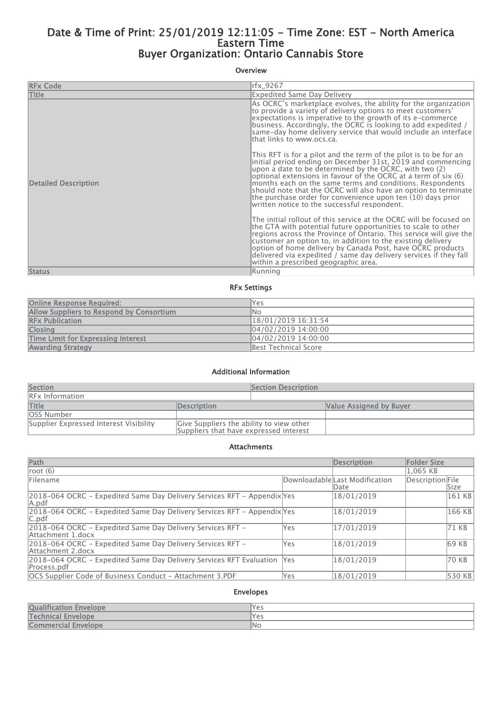# Date & Time of Print: 25/01/2019 12:11:05 - Time Zone: EST - North America Eastern Time Buyer Organization: Ontario Cannabis Store

## Overview

| <b>RFx Code</b>             | rfx_9267                                                                                                                                                                                                                                                                                                                                                                                                                                                                                                      |
|-----------------------------|---------------------------------------------------------------------------------------------------------------------------------------------------------------------------------------------------------------------------------------------------------------------------------------------------------------------------------------------------------------------------------------------------------------------------------------------------------------------------------------------------------------|
| <b>Title</b>                | <b>Expedited Same Day Delivery</b>                                                                                                                                                                                                                                                                                                                                                                                                                                                                            |
|                             | As OCRC's marketplace evolves, the ability for the organization<br>to provide a variety of delivery options to meet customers'<br>expectations is imperative to the growth of its e-commerce<br>business. Accordingly, the OCRC is looking to add expedited /<br>same-day home delivery service that would include an interface<br>lthat links to www.ocs.ca.                                                                                                                                                 |
| <b>Detailed Description</b> | This RFT is for a pilot and the term of the pilot is to be for an<br>initial period ending on December 31st, 2019 and commencing<br>upon a date to be determined by the OCRC, with two $(2)$<br>optional extensions in favour of the OCRC at a term of six (6)<br>months each on the same terms and conditions. Respondents<br>should note that the OCRC will also have an option to terminate<br>the purchase order for convenience upon ten (10) days prior<br>written notice to the successful respondent. |
|                             | The initial rollout of this service at the OCRC will be focused on<br>the GTA with potential future opportunities to scale to other<br>regions across the Province of Ontario. This service will give the<br>customer an option to, in addition to the existing delivery<br>option of home delivery by Canada Post, have OCRC products<br>delivered via expedited / same day delivery services if they fall<br>within a prescribed geographic area.                                                           |
| <b>Status</b>               | Running                                                                                                                                                                                                                                                                                                                                                                                                                                                                                                       |

#### RFx Settings

| <b>Online Response Required:</b>          | Yes                  |
|-------------------------------------------|----------------------|
| Allow Suppliers to Respond by Consortium  | lNo                  |
| <b>RFx Publication</b>                    | 18/01/2019 16:31:54  |
| <b>Closing</b>                            | 04/02/2019 14:00:00  |
| <b>Time Limit for Expressing Interest</b> | 04/02/2019 14:00:00  |
| <b>Awarding Strategy</b>                  | Best Technical Score |

#### Additional Information

| <b>Section</b>                         |                                                                                    | <b>Section Description</b> |                         |
|----------------------------------------|------------------------------------------------------------------------------------|----------------------------|-------------------------|
| <b>RFx Information</b>                 |                                                                                    |                            |                         |
| <b>Title</b>                           | Description                                                                        |                            | Value Assigned by Buyer |
| <b>OSS Number</b>                      |                                                                                    |                            |                         |
| Supplier Expressed Interest Visibility | Give Suppliers the ability to view other<br>Suppliers that have expressed interest |                            |                         |

#### Attachments

| Path                                                                                    |     | <b>Description</b>                     | <b>Folder Size</b> |        |
|-----------------------------------------------------------------------------------------|-----|----------------------------------------|--------------------|--------|
| root $(6)$                                                                              |     |                                        | 1.065 KB           |        |
| Filename                                                                                |     | Downloadable Last Modification<br>Date | Description File   | Size   |
| 2018–064 OCRC – Expedited Same Day Delivery Services RFT – Appendix Yes<br>A.pdf        |     | 18/01/2019                             |                    | 161 KB |
| 2018-064 OCRC - Expedited Same Day Delivery Services RFT - Appendix Yes<br>C.pdf        |     | 18/01/2019                             |                    | 166 KB |
| 2018-064 OCRC - Expedited Same Day Delivery Services RFT -<br>Attachment 1.docx         | Yes | 17/01/2019                             |                    | 71 KB  |
| 2018-064 OCRC - Expedited Same Day Delivery Services RFT -<br>Attachment 2.docx         | Yes | 18/01/2019                             |                    | 69 KB  |
| 2018-064 OCRC - Expedited Same Day Delivery Services RFT Evaluation  Yes<br>Process.pdf |     | 18/01/2019                             |                    | 70 KB  |
| OCS Supplier Code of Business Conduct - Attachment 3.PDF                                | Yes | 18/01/2019                             |                    | 530 KB |

## Envelopes

| <b>Qualification Envelope</b> | 'Yes |
|-------------------------------|------|
| <b>Technical Envelope</b>     | 'Yes |
| Commercial Envelope           | 'No  |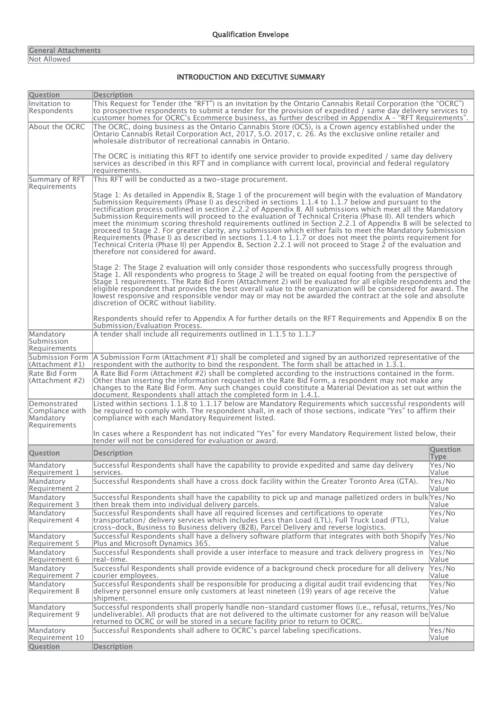#### General Attachments Not Allowed

## INTRODUCTION AND EXECUTIVE SUMMARY

| <b>Question</b>                                              | <b>Description</b>                                                                                                                                                                                                                                                                                                                                                                                                                                                                                                                                                                                                                                                                                                                                                                                                                                                                                                                                 |                                |
|--------------------------------------------------------------|----------------------------------------------------------------------------------------------------------------------------------------------------------------------------------------------------------------------------------------------------------------------------------------------------------------------------------------------------------------------------------------------------------------------------------------------------------------------------------------------------------------------------------------------------------------------------------------------------------------------------------------------------------------------------------------------------------------------------------------------------------------------------------------------------------------------------------------------------------------------------------------------------------------------------------------------------|--------------------------------|
| Invitation to<br>Respondents                                 | This Request for Tender (the "RFT") is an invitation by the Ontario Cannabis Retail Corporation (the "OCRC")<br>to prospective respondents to submit a tender for the provision of expedited / same day delivery services to<br>customer homes for OCRC's Ecommerce business, as further described in Appendix A - "RFT Requirements".                                                                                                                                                                                                                                                                                                                                                                                                                                                                                                                                                                                                             |                                |
| About the OCRC                                               | The OCRC, doing business as the Ontario Cannabis Store (OCS), is a Crown agency established under the<br>Ontario Cannabis Retail Corporation Act, 2017, S.O. 2017, c. 26. As the exclusive online retailer and<br>wholesale distributor of recreational cannabis in Ontario.                                                                                                                                                                                                                                                                                                                                                                                                                                                                                                                                                                                                                                                                       |                                |
|                                                              | The OCRC is initiating this RFT to identify one service provider to provide expedited / same day delivery<br>services as described in this RFT and in compliance with current local, provincial and federal regulatory<br>requirements.                                                                                                                                                                                                                                                                                                                                                                                                                                                                                                                                                                                                                                                                                                            |                                |
| Summary of RFT<br>Requirements                               | This RFT will be conducted as a two-stage procurement.                                                                                                                                                                                                                                                                                                                                                                                                                                                                                                                                                                                                                                                                                                                                                                                                                                                                                             |                                |
|                                                              | Stage 1: As detailed in Appendix B, Stage 1 of the procurement will begin with the evaluation of Mandatory<br>Submission Requirements (Phase I) as described in sections 1.1.4 to 1.1.7 below and pursuant to the<br>rectification process outlined in section 2.2.2 of Appendix B. All submissions which meet all the Mandatory<br>Submission Requirements will proceed to the evaluation of Technical Criteria (Phase II). All tenders which<br>meet the minimum scoring threshold requirements outlined in Section 2.2.1 of Appendix B will be selected to<br>proceed to Stage 2. For greater clarity, any submission which either fails to meet the Mandatory Submission<br>Requirements (Phase I) as described in sections 1.1.4 to 1.1.7 or does not meet the points requirement for<br>Technical Criteria (Phase II) per Appendix B, Section 2.2.1 will not proceed to Stage 2 of the evaluation and<br>therefore not considered for award. |                                |
|                                                              | Stage 2: The Stage 2 evaluation will only consider those respondents who successfully progress through<br>Stage 1. All respondents who progress to Stage 2 will be treated on equal footing from the perspective of<br>Stage 1 requirements. The Rate Bid Form (Attachment 2) will be evaluated for all eligible respondents and the<br>eligible respondent that provides the best overall value to the organization will be considered for award. The<br>lowest responsive and responsible vendor may or may not be awarded the contract at the sole and absolute<br>discretion of OCRC without liability.                                                                                                                                                                                                                                                                                                                                        |                                |
|                                                              | Respondents should refer to Appendix A for further details on the RFT Requirements and Appendix B on the<br>Submission/Evaluation Process.                                                                                                                                                                                                                                                                                                                                                                                                                                                                                                                                                                                                                                                                                                                                                                                                         |                                |
| Mandatory<br>Submission<br>Requirements                      | A tender shall include all requirements outlined in 1.1.5 to 1.1.7                                                                                                                                                                                                                                                                                                                                                                                                                                                                                                                                                                                                                                                                                                                                                                                                                                                                                 |                                |
| Submission Form<br> (Attachment #1)                          | A Submission Form (Attachment #1) shall be completed and signed by an authorized representative of the<br>respondent with the authority to bind the respondent. The form shall be attached in 1.3.1.                                                                                                                                                                                                                                                                                                                                                                                                                                                                                                                                                                                                                                                                                                                                               |                                |
| Rate Bid Form<br> (Attachment #2)                            | A Rate Bid Form (Attachment #2) shall be completed according to the instructions contained in the form.<br>Other than inserting the information requested in the Rate Bid Form, a respondent may not make any<br>changes to the Rate Bid Form. Any such changes could constitute a Material Deviation as set out within the<br>document. Respondents shall attach the completed form in 1.4.1.                                                                                                                                                                                                                                                                                                                                                                                                                                                                                                                                                     |                                |
| Demonstrated<br>Compliance with<br>Mandatory<br>Requirements | Listed within sections 1.1.8 to 1.1.17 below are Mandatory Requirements which successful respondents will<br>be required to comply with. The respondent shall, in each of those sections, indicate "Yes" to affirm their<br>compliance with each Mandatory Requirement listed.                                                                                                                                                                                                                                                                                                                                                                                                                                                                                                                                                                                                                                                                     |                                |
|                                                              | In cases where a Respondent has not indicated "Yes" for every Mandatory Requirement listed below, their<br>tender will not be considered for evaluation or award.                                                                                                                                                                                                                                                                                                                                                                                                                                                                                                                                                                                                                                                                                                                                                                                  |                                |
| <b>Question</b>                                              | <b>Description</b>                                                                                                                                                                                                                                                                                                                                                                                                                                                                                                                                                                                                                                                                                                                                                                                                                                                                                                                                 | <b>Ouestion</b><br><b>Type</b> |
| Mandatory<br>Requirement 1                                   | Successful Respondents shall have the capability to provide expedited and same day delivery<br>services.                                                                                                                                                                                                                                                                                                                                                                                                                                                                                                                                                                                                                                                                                                                                                                                                                                           | Yes/No<br>Value                |
| Mandatory<br>Requirement 2                                   | Successful Respondents shall have a cross dock facility within the Greater Toronto Area (GTA).                                                                                                                                                                                                                                                                                                                                                                                                                                                                                                                                                                                                                                                                                                                                                                                                                                                     | Yes/No<br>Value                |
| Mandatory<br>Requirement 3                                   | Successful Respondents shall have the capability to pick up and manage palletized orders in bulk Yes/No<br>then break them into individual delivery parcels.                                                                                                                                                                                                                                                                                                                                                                                                                                                                                                                                                                                                                                                                                                                                                                                       | Value                          |
| Mandatory<br>Requirement 4                                   | Successful Respondents shall have all required licenses and certifications to operate<br>transportation/ delivery services which includes Less than Load (LTL), Full Truck Load (FTL),<br>cross-dock, Business to Business delivery (B2B), Parcel Delivery and reverse logistics.                                                                                                                                                                                                                                                                                                                                                                                                                                                                                                                                                                                                                                                                  | Yes/No<br>Value                |
| Mandatory<br>Requirement 5                                   | Successful Respondents shall have a delivery software platform that integrates with both Shopify Yes/No<br>Plus and Microsoft Dynamics 365.                                                                                                                                                                                                                                                                                                                                                                                                                                                                                                                                                                                                                                                                                                                                                                                                        | Value                          |
| Mandatory<br>Requirement 6                                   | Successful Respondents shall provide a user interface to measure and track delivery progress in<br>real-time.                                                                                                                                                                                                                                                                                                                                                                                                                                                                                                                                                                                                                                                                                                                                                                                                                                      | Yes/No<br>Value                |
| Mandatory<br>Requirement 7                                   | Successful Respondents shall provide evidence of a background check procedure for all delivery<br>courier employees.                                                                                                                                                                                                                                                                                                                                                                                                                                                                                                                                                                                                                                                                                                                                                                                                                               | Yes/No<br>Value                |
| Mandatory<br>Requirement 8                                   | Successful Respondents shall be responsible for producing a digital audit trail evidencing that<br>delivery personnel ensure only customers at least nineteen (19) years of age receive the<br>shipment.                                                                                                                                                                                                                                                                                                                                                                                                                                                                                                                                                                                                                                                                                                                                           | Yes/No<br>Value                |
| Mandatory<br>Requirement 9                                   | Successful respondents shall properly handle non-standard customer flows (i.e., refusal, returns, Yes/No<br>undeliverable). All products that are not delivered to the ultimate customer for any reason will be Value<br>returned to OCRC or will be stored in a secure facility prior to return to OCRC.                                                                                                                                                                                                                                                                                                                                                                                                                                                                                                                                                                                                                                          |                                |
| Mandatory<br>Requirement 10                                  | Successful Respondents shall adhere to OCRC's parcel labeling specifications.                                                                                                                                                                                                                                                                                                                                                                                                                                                                                                                                                                                                                                                                                                                                                                                                                                                                      | Yes/No<br>Value                |
| <b>Question</b>                                              | <b>Description</b>                                                                                                                                                                                                                                                                                                                                                                                                                                                                                                                                                                                                                                                                                                                                                                                                                                                                                                                                 |                                |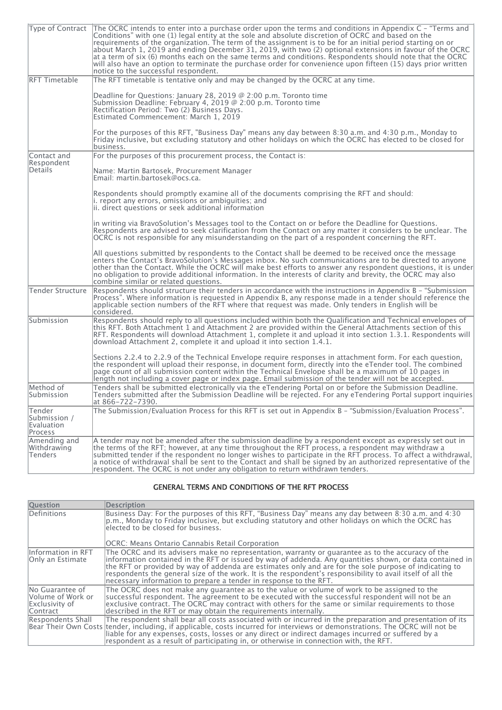| Type of Contract                                | The OCRC intends to enter into a purchase order upon the terms and conditions in Appendix $C -$ "Terms and<br>Conditions" with one (1) legal entity at the sole and absolute discretion of OCRC and based on the<br>requirements of the organization. The term of the assignment is to be for an initial period starting on or<br>about March 1, 2019 and ending December 31, 2019, with two (2) optional extensions in favour of the OCRC<br>at a term of six (6) months each on the same terms and conditions. Respondents should note that the OCRC<br>will also have an option to terminate the purchase order for convenience upon fifteen (15) days prior written<br>notice to the successful respondent. |
|-------------------------------------------------|-----------------------------------------------------------------------------------------------------------------------------------------------------------------------------------------------------------------------------------------------------------------------------------------------------------------------------------------------------------------------------------------------------------------------------------------------------------------------------------------------------------------------------------------------------------------------------------------------------------------------------------------------------------------------------------------------------------------|
| <b>RFT Timetable</b>                            | The RFT timetable is tentative only and may be changed by the OCRC at any time.                                                                                                                                                                                                                                                                                                                                                                                                                                                                                                                                                                                                                                 |
|                                                 | Deadline for Questions: January 28, 2019 @ 2:00 p.m. Toronto time<br>Submission Deadline: February 4, 2019 @ 2:00 p.m. Toronto time<br>Rectification Period: Two (2) Business Days.<br>Estimated Commencement: March 1, 2019                                                                                                                                                                                                                                                                                                                                                                                                                                                                                    |
|                                                 | For the purposes of this RFT, "Business Day" means any day between 8:30 a.m. and 4:30 p.m., Monday to<br>Friday inclusive, but excluding statutory and other holidays on which the OCRC has elected to be closed for<br>business.                                                                                                                                                                                                                                                                                                                                                                                                                                                                               |
| Contact and<br>Respondent                       | For the purposes of this procurement process, the Contact is:                                                                                                                                                                                                                                                                                                                                                                                                                                                                                                                                                                                                                                                   |
| Details                                         | Name: Martin Bartosek, Procurement Manager<br>Email: martin.bartosek@ocs.ca.                                                                                                                                                                                                                                                                                                                                                                                                                                                                                                                                                                                                                                    |
|                                                 | Respondents should promptly examine all of the documents comprising the RFT and should:<br>i. report any errors, omissions or ambiguities; and<br>ii. direct questions or seek additional information                                                                                                                                                                                                                                                                                                                                                                                                                                                                                                           |
|                                                 | in writing via BravoSolution's Messages tool to the Contact on or before the Deadline for Questions.<br>Respondents are advised to seek clarification from the Contact on any matter it considers to be unclear. The<br>OCRC is not responsible for any misunderstanding on the part of a respondent concerning the RFT.                                                                                                                                                                                                                                                                                                                                                                                        |
|                                                 | All questions submitted by respondents to the Contact shall be deemed to be received once the message<br>enters the Contact's BravoSolution's Messages inbox. No such communications are to be directed to anyone<br>other than the Contact. While the OCRC will make best efforts to answer any respondent questions, it is under<br>no obligation to provide additional information. In the interests of clarity and brevity, the OCRC may also<br>combine similar or related questions.                                                                                                                                                                                                                      |
| <b>Tender Structure</b>                         | Respondents should structure their tenders in accordance with the instructions in Appendix B - "Submission"<br>Process". Where information is requested in Appendix B, any response made in a tender should reference the<br>applicable section numbers of the RFT where that request was made. Only tenders in English will be<br>considered.                                                                                                                                                                                                                                                                                                                                                                  |
| Submission                                      | Respondents should reply to all questions included within both the Qualification and Technical envelopes of<br>this RFT. Both Attachment 1 and Attachment 2 are provided within the General Attachments section of this<br>RFT. Respondents will download Attachment 1, complete it and upload it into section 1.3.1. Respondents will<br>download Attachment 2, complete it and upload it into section 1.4.1.                                                                                                                                                                                                                                                                                                  |
|                                                 | Sections 2.2.4 to 2.2.9 of the Technical Envelope require responses in attachment form. For each question,<br>the respondent will upload their response, in document form, directly into the eTender tool. The combined<br>page count of all submission content within the Technical Envelope shall be a maximum of 10 pages in<br>length not including a cover page or index page. Email submission of the tender will not be accepted.                                                                                                                                                                                                                                                                        |
| Method of<br>Submission                         | Tenders shall be submitted electronically via the eTendering Portal on or before the Submission Deadline.<br>Tenders submitted after the Submission Deadline will be rejected. For any eTendering Portal support inquiries<br>at 866-722-7390.                                                                                                                                                                                                                                                                                                                                                                                                                                                                  |
| Tender<br>Submission /<br>Evaluation<br>Process | The Submission/Evaluation Process for this RFT is set out in Appendix B - "Submission/Evaluation Process".                                                                                                                                                                                                                                                                                                                                                                                                                                                                                                                                                                                                      |
| Amending and<br>Withdrawing<br><b>Tenders</b>   | A tender may not be amended after the submission deadline by a respondent except as expressly set out in<br>the terms of the RFT; however, at any time throughout the RFT process, a respondent may withdraw a<br>submitted tender if the respondent no longer wishes to participate in the RFT process. To affect a withdrawal,<br>a notice of withdrawal shall be sent to the Contact and shall be signed by an authorized representative of the<br>respondent. The OCRC is not under any obligation to return withdrawn tenders.                                                                                                                                                                             |

# GENERAL TERMS AND CONDITIONS OF THE RFT PROCESS

| <b>Question</b>                                                    | <b>Description</b>                                                                                                                                                                                                                                                                                                                                                                                                                                                                                         |
|--------------------------------------------------------------------|------------------------------------------------------------------------------------------------------------------------------------------------------------------------------------------------------------------------------------------------------------------------------------------------------------------------------------------------------------------------------------------------------------------------------------------------------------------------------------------------------------|
| Definitions                                                        | Business Day: For the purposes of this RFT, "Business Day" means any day between 8:30 a.m. and 4:30<br>p.m., Monday to Friday inclusive, but excluding statutory and other holidays on which the OCRC has<br>elected to be closed for business.                                                                                                                                                                                                                                                            |
|                                                                    | OCRC: Means Ontario Cannabis Retail Corporation                                                                                                                                                                                                                                                                                                                                                                                                                                                            |
| Information in RFT<br><b>Only an Estimate</b>                      | The OCRC and its advisers make no representation, warranty or guarantee as to the accuracy of the<br>information contained in the RFT or issued by way of addenda. Any quantities shown, or data contained in<br>the RFT or provided by way of addenda are estimates only and are for the sole purpose of indicating to<br>respondents the general size of the work. It is the respondent's responsibility to avail itself of all the<br>necessary information to prepare a tender in response to the RFT. |
| No Guarantee of<br>Volume of Work or<br>Exclusivity of<br>Contract | The OCRC does not make any quarantee as to the value or volume of work to be assigned to the<br>successful respondent. The agreement to be executed with the successful respondent will not be an<br>exclusive contract. The OCRC may contract with others for the same or similar requirements to those<br>described in the RFT or may obtain the requirements internally.                                                                                                                                |
| Respondents Shall                                                  | The respondent shall bear all costs associated with or incurred in the preparation and presentation of its<br>Bear Their Own Costs tender, including, if applicable, costs incurred for interviews or demonstrations. The OCRC will not be<br>lliable for any expenses, costs, losses or any direct or indirect damages incurred or suffered by a<br>respondent as a result of participating in, or otherwise in connection with, the RFT.                                                                 |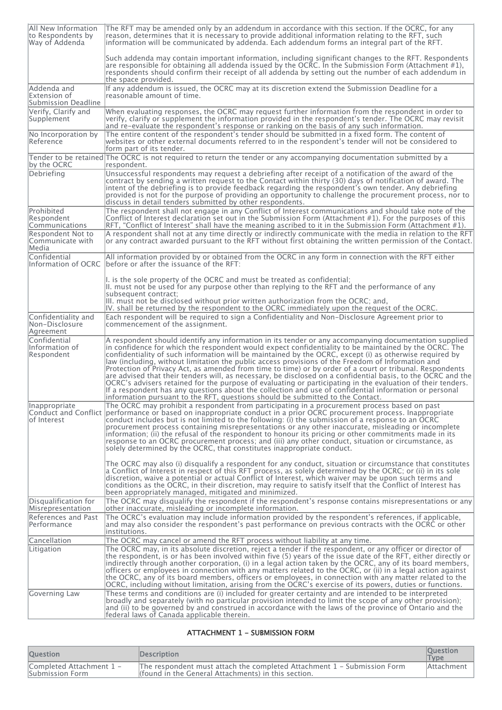| All New Information<br>to Respondents by<br>Way of Addenda       | The RFT may be amended only by an addendum in accordance with this section. If the OCRC, for any<br>reason, determines that it is necessary to provide additional information relating to the RFT, such<br>information will be communicated by addenda. Each addendum forms an integral part of the RFT.                                                                                                                                                                                                                                                                                                                                                                                                                                                                                                                                                                                                                                                              |
|------------------------------------------------------------------|-----------------------------------------------------------------------------------------------------------------------------------------------------------------------------------------------------------------------------------------------------------------------------------------------------------------------------------------------------------------------------------------------------------------------------------------------------------------------------------------------------------------------------------------------------------------------------------------------------------------------------------------------------------------------------------------------------------------------------------------------------------------------------------------------------------------------------------------------------------------------------------------------------------------------------------------------------------------------|
|                                                                  | Such addenda may contain important information, including significant changes to the RFT. Respondents<br>are responsible for obtaining all addenda issued by the OCRC. In the Submission Form (Attachment #1),<br>respondents should confirm their receipt of all addenda by setting out the number of each addendum in<br>the space provided.                                                                                                                                                                                                                                                                                                                                                                                                                                                                                                                                                                                                                        |
| Addenda and<br>Extension of<br>Submission Deadline               | If any addendum is issued, the OCRC may at its discretion extend the Submission Deadline for a<br>reasonable amount of time.                                                                                                                                                                                                                                                                                                                                                                                                                                                                                                                                                                                                                                                                                                                                                                                                                                          |
| Verify. Clarify and<br>Supplement                                | When evaluating responses, the OCRC may request further information from the respondent in order to<br>verify, clarify or supplement the information provided in the respondent's tender. The OCRC may revisit<br>and re-evaluate the respondent's response or ranking on the basis of any such information.                                                                                                                                                                                                                                                                                                                                                                                                                                                                                                                                                                                                                                                          |
| No Incorporation by<br> Reference                                | The entire content of the respondent's tender should be submitted in a fixed form. The content of<br>websites or other external documents referred to in the respondent's tender will not be considered to<br>form part of its tender.                                                                                                                                                                                                                                                                                                                                                                                                                                                                                                                                                                                                                                                                                                                                |
| by the OCRC                                                      | Tender to be retained The OCRC is not required to return the tender or any accompanying documentation submitted by a<br>respondent.                                                                                                                                                                                                                                                                                                                                                                                                                                                                                                                                                                                                                                                                                                                                                                                                                                   |
| Debriefing                                                       | Unsuccessful respondents may request a debriefing after receipt of a notification of the award of the<br>contract by sending a written request to the Contact within thirty (30) days of notification of award. The<br>intent of the debriefing is to provide feedback regarding the respondent's own tender. Any debriefing<br>provided is not for the purpose of providing an opportunity to challenge the procurement process, nor to<br>discuss in detail tenders submitted by other respondents.                                                                                                                                                                                                                                                                                                                                                                                                                                                                 |
| Prohibited<br>Respondent<br>Communications                       | The respondent shall not engage in any Conflict of Interest communications and should take note of the<br>Conflict of Interest declaration set out in the Submission Form (Attachment #1). For the purposes of this<br>$RFT$ , "Conflict of Interest" shall have the meaning ascribed to it in the Submission Form (Attachment #1).                                                                                                                                                                                                                                                                                                                                                                                                                                                                                                                                                                                                                                   |
| Respondent Not to<br>Communicate with<br>Media                   | A respondent shall not at any time directly or indirectly communicate with the media in relation to the RFT<br>or any contract awarded pursuant to the RFT without first obtaining the written permission of the Contact.                                                                                                                                                                                                                                                                                                                                                                                                                                                                                                                                                                                                                                                                                                                                             |
| Confidential                                                     | All information provided by or obtained from the OCRC in any form in connection with the RFT either<br>Information of OCRC before or after the issuance of the RFT:                                                                                                                                                                                                                                                                                                                                                                                                                                                                                                                                                                                                                                                                                                                                                                                                   |
|                                                                  | I. is the sole property of the OCRC and must be treated as confidential;<br>II. must not be used for any purpose other than replying to the RFT and the performance of any<br>subsequent contract:<br>III. must not be disclosed without prior written authorization from the OCRC; and,                                                                                                                                                                                                                                                                                                                                                                                                                                                                                                                                                                                                                                                                              |
| Confidentiality and<br>Non-Disclosure<br>Agreement               | $ V$ . shall be returned by the respondent to the OCRC immediately upon the request of the OCRC.<br>Each respondent will be required to sign a Confidentiality and Non-Disclosure Agreement prior to<br>commencement of the assignment.                                                                                                                                                                                                                                                                                                                                                                                                                                                                                                                                                                                                                                                                                                                               |
| Confidential<br>Information of<br>Respondent                     | A respondent should identify any information in its tender or any accompanying documentation supplied<br>in confidence for which the respondent would expect confidentiality to be maintained by the OCRC. The<br>confidentiality of such information will be maintained by the OCRC, except (i) as otherwise required by<br>law (including, without limitation the public access provisions of the Freedom of Information and<br>Protection of Privacy Act, as amended from time to time) or by order of a court or tribunal. Respondents<br>are advised that their tenders will, as necessary, be disclosed on a confidential basis, to the OCRC and the<br>OCRC's advisers retained for the purpose of evaluating or participating in the evaluation of their tenders.<br>If a respondent has any questions about the collection and use of confidential information or personal<br>information pursuant to the RFT, questions should be submitted to the Contact. |
| Inappropriate<br>of Interest                                     | The OCRC may prohibit a respondent from participating in a procurement process based on past<br>Conduct and Conflict  performance or based on inappropriate conduct in a prior OCRC procurement process. Inappropriate<br>conduct includes but is not limited to the following: (i) the submission of a response to an OCRC<br>procurement process containing misrepresentations or any other inaccurate, misleading or incomplete<br>information; (ii) the refusal of the respondent to honour its pricing or other commitments made in its<br>response to an OCRC procurement process; and (iii) any other conduct, situation or circumstance, as<br>solely determined by the OCRC, that constitutes inappropriate conduct.                                                                                                                                                                                                                                         |
|                                                                  | The OCRC may also (i) disqualify a respondent for any conduct, situation or circumstance that constitutes<br>a Conflict of Interest in respect of this RFT process, as solely determined by the OCRC; or (ii) in its sole<br>discretion, waive a potential or actual Conflict of Interest, which waiver may be upon such terms and<br>conditions as the OCRC, in their discretion, may require to satisfy itself that the Conflict of Interest has<br>been appropriately managed, mitigated and minimized.                                                                                                                                                                                                                                                                                                                                                                                                                                                            |
| Disqualification for<br>Misrepresentation<br>References and Past | The OCRC may disqualify the respondent if the respondent's response contains misrepresentations or any<br>other inaccurate, misleading or incomplete information.<br>The OCRC's evaluation may include information provided by the respondent's references, if applicable,                                                                                                                                                                                                                                                                                                                                                                                                                                                                                                                                                                                                                                                                                            |
| Performance                                                      | and may also consider the respondent's past performance on previous contracts with the OCRC or other<br>institutions.                                                                                                                                                                                                                                                                                                                                                                                                                                                                                                                                                                                                                                                                                                                                                                                                                                                 |
| Cancellation                                                     | The OCRC may cancel or amend the RFT process without liability at any time.                                                                                                                                                                                                                                                                                                                                                                                                                                                                                                                                                                                                                                                                                                                                                                                                                                                                                           |
| Litigation                                                       | The OCRC may, in its absolute discretion, reject a tender if the respondent, or any officer or director of<br>the respondent, is or has been involved within five (5) years of the issue date of the RFT, either directly or<br>indirectly through another corporation, (i) in a legal action taken by the OCRC, any of its board members,<br>officers or employees in connection with any matters related to the OCRC, or (ii) in a legal action against<br>the OCRC, any of its board members, officers or employees, in connection with any matter related to the<br>OCRC, including without limitation, arising from the OCRC's exercise of its powers, duties or functions.                                                                                                                                                                                                                                                                                      |
| Governing Law                                                    | These terms and conditions are (i) included for greater certainty and are intended to be interpreted<br>broadly and separately (with no particular provision intended to limit the scope of any other provision);<br>and (ii) to be governed by and construed in accordance with the laws of the province of Ontario and the<br>federal laws of Canada applicable therein.                                                                                                                                                                                                                                                                                                                                                                                                                                                                                                                                                                                            |

## ATTACHMENT 1 - SUBMISSION FORM

| <b>Ouestion</b>                             | <b>Description</b>                                                                                                               | <b>Ouestion</b><br><b>Type</b> |
|---------------------------------------------|----------------------------------------------------------------------------------------------------------------------------------|--------------------------------|
| Completed Attachment 1 -<br>Submission Form | The respondent must attach the completed Attachment 1 - Submission Form<br>I (found in the General Attachments) in this section. | <b>Attachment</b>              |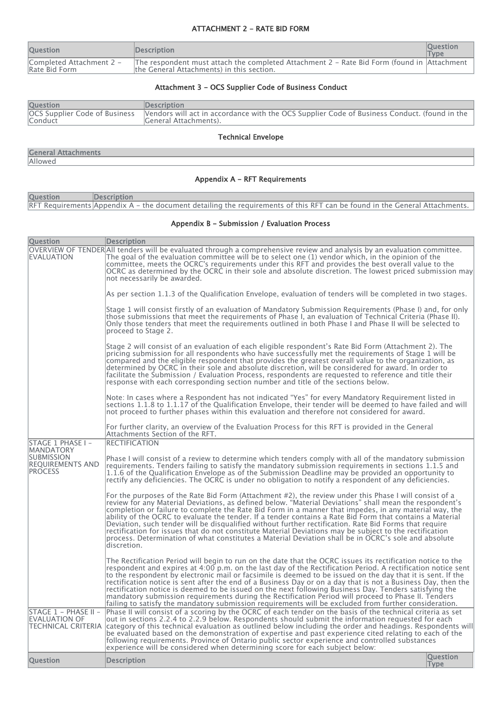#### ATTACHMENT 2 - RATE BID FORM

| <b>Ouestion</b>                           | <b>IDescription</b>                                                                                                                     | <b>Ouestion</b><br><b>Type</b> |
|-------------------------------------------|-----------------------------------------------------------------------------------------------------------------------------------------|--------------------------------|
| Completed Attachment 2 -<br>Rate Bid Form | The respondent must attach the completed Attachment 2 - Rate Bid Form (found in Attachment<br>the General Attachments) in this section. |                                |

# Attachment 3 - OCS Supplier Code of Business Conduct

| <b>Question</b> | <b>Description</b>                                                                                                                                   |
|-----------------|------------------------------------------------------------------------------------------------------------------------------------------------------|
| Conduct         | OCS Supplier Code of Business  Vendors will act in accordance with the OCS Supplier Code of Business Conduct. (found in the<br>General Attachments). |

Technical Envelope

|         | <b>General Attachments</b> |
|---------|----------------------------|
| Allowed |                            |

# Appendix A - RFT Requirements

| <b>Question</b> | Description                                                                                                                |
|-----------------|----------------------------------------------------------------------------------------------------------------------------|
|                 | RFT Requirements Appendix A – the document detailing the requirements of this RFT can be found in the General Attachments. |

## Appendix B - Submission / Evaluation Process

| <b>Question</b>                                                                    | <b>Description</b>                                                                                                                                                                                                                                                                                                                                                                                                                                                                                                                                                                                                                                                                                                                                                                    |                                |
|------------------------------------------------------------------------------------|---------------------------------------------------------------------------------------------------------------------------------------------------------------------------------------------------------------------------------------------------------------------------------------------------------------------------------------------------------------------------------------------------------------------------------------------------------------------------------------------------------------------------------------------------------------------------------------------------------------------------------------------------------------------------------------------------------------------------------------------------------------------------------------|--------------------------------|
| <b>EVALUATION</b>                                                                  | OVERVIEW OF TENDERAII tenders will be evaluated through a comprehensive review and analysis by an evaluation committee.<br>The goal of the evaluation committee will be to select one (1) vendor which, in the opinion of the<br>committee, meets the OCRC's requirements under this RFT and provides the best overall value to the<br>OCRC as determined by the OCRC in their sole and absolute discretion. The lowest priced submission may<br>not necessarily be awarded.                                                                                                                                                                                                                                                                                                          |                                |
|                                                                                    | As per section 1.1.3 of the Qualification Envelope, evaluation of tenders will be completed in two stages.                                                                                                                                                                                                                                                                                                                                                                                                                                                                                                                                                                                                                                                                            |                                |
|                                                                                    | Stage 1 will consist firstly of an evaluation of Mandatory Submission Requirements (Phase I) and, for only<br>those submissions that meet the requirements of Phase I, an evaluation of Technical Criteria (Phase II).<br>Only those tenders that meet the requirements outlined in both Phase I and Phase II will be selected to<br>proceed to Stage 2.                                                                                                                                                                                                                                                                                                                                                                                                                              |                                |
|                                                                                    | Stage 2 will consist of an evaluation of each eligible respondent's Rate Bid Form (Attachment 2). The<br>pricing submission for all respondents who have successfully met the requirements of Stage 1 will be<br>compared and the eligible respondent that provides the greatest overall value to the organization, as<br>determined by OCRC in their sole and absolute discretion, will be considered for award. In order to<br>facilitate the Submission / Evaluation Process, respondents are requested to reference and title their<br>response with each corresponding section number and title of the sections below.                                                                                                                                                           |                                |
|                                                                                    | Note: In cases where a Respondent has not indicated "Yes" for every Mandatory Requirement listed in<br>sections 1.1.8 to 1.1.17 of the Qualification Envelope, their tender will be deemed to have failed and will<br>not proceed to further phases within this evaluation and therefore not considered for award.                                                                                                                                                                                                                                                                                                                                                                                                                                                                    |                                |
|                                                                                    | For further clarity, an overview of the Evaluation Process for this RFT is provided in the General<br>Attachments Section of the RFT.                                                                                                                                                                                                                                                                                                                                                                                                                                                                                                                                                                                                                                                 |                                |
| STAGE 1 PHASE I -                                                                  | <b>RECTIFICATION</b>                                                                                                                                                                                                                                                                                                                                                                                                                                                                                                                                                                                                                                                                                                                                                                  |                                |
| <b>MANDATORY</b><br><b>SUBMISSION</b><br><b>REQUIREMENTS AND</b><br><b>PROCESS</b> | Phase I will consist of a review to determine which tenders comply with all of the mandatory submission<br>requirements. Tenders failing to satisfy the mandatory submission requirements in sections 1.1.5 and<br>1.1.6 of the Qualification Envelope as of the Submission Deadline may be provided an opportunity to<br>rectify any deficiencies. The OCRC is under no obligation to notify a respondent of any deficiencies.                                                                                                                                                                                                                                                                                                                                                       |                                |
|                                                                                    | For the purposes of the Rate Bid Form (Attachment #2), the review under this Phase I will consist of a<br>review for any Material Deviations, as defined below. "Material Deviations" shall mean the respondent's<br>completion or failure to complete the Rate Bid Form in a manner that impedes, in any material way, the<br>ability of the OCRC to evaluate the tender. If a tender contains a Rate Bid Form that contains a Material<br>Deviation, such tender will be disqualified without further rectification. Rate Bid Forms that require<br>rectification for issues that do not constitute Material Deviations may be subject to the rectification<br>process. Determination of what constitutes a Material Deviation shall be in OCRC's sole and absolute<br>discretion.  |                                |
|                                                                                    | The Rectification Period will begin to run on the date that the OCRC issues its rectification notice to the<br>respondent and expires at 4:00 p.m. on the last day of the Rectification Period. A rectification notice sent<br>to the respondent by electronic mail or facsimile is deemed to be issued on the day that it is sent. If the<br>rectification notice is sent after the end of a Business Day or on a day that is not a Business Day, then the<br>rectification notice is deemed to be issued on the next following Business Day. Tenders satisfying the<br>mandatory submission requirements during the Rectification Period will proceed to Phase II. Tenders<br>failing to satisfy the mandatory submission requirements will be excluded from further consideration. |                                |
| STAGE 1 - PHASE II -<br>EVALUATION OF<br><b>TECHNICAL CRITERIA</b>                 | Phase II will consist of a scoring by the OCRC of each tender on the basis of the technical criteria as set<br>out in sections 2.2.4 to 2.2.9 below. Respondents should submit the information requested for each<br>$\alpha$ category of this technical evaluation as outlined below including the order and headings. Respondents will<br>be evaluated based on the demonstration of expertise and past experience cited relating to each of the<br>following requirements. Province of Ontario public sector experience and controlled substances<br>experience will be considered when determining score for each subject below:                                                                                                                                                  |                                |
| <b>Question</b>                                                                    | <b>Description</b>                                                                                                                                                                                                                                                                                                                                                                                                                                                                                                                                                                                                                                                                                                                                                                    | <b>Question</b><br><b>Type</b> |